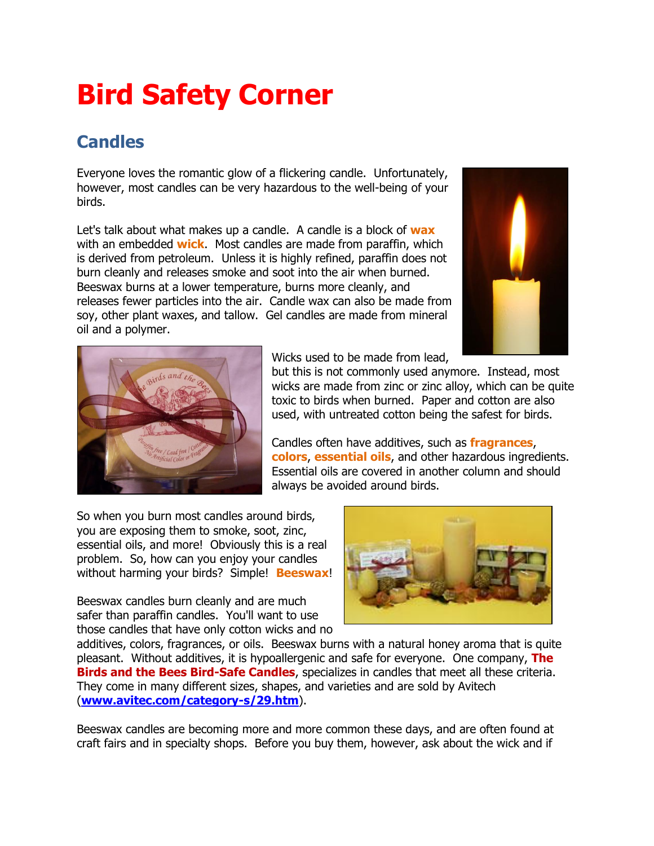## **Bird Safety Corner**

## **Candles**

Everyone loves the romantic glow of a flickering candle. Unfortunately, however, most candles can be very hazardous to the well-being of your birds.

Let's talk about what makes up a candle. A candle is a block of **wax** with an embedded **wick**. Most candles are made from paraffin, which is derived from petroleum. Unless it is highly refined, paraffin does not burn cleanly and releases smoke and soot into the air when burned. Beeswax burns at a lower temperature, burns more cleanly, and releases fewer particles into the air. Candle wax can also be made from soy, other plant waxes, and tallow. Gel candles are made from mineral oil and a polymer.





Wicks used to be made from lead,

but this is not commonly used anymore. Instead, most wicks are made from zinc or zinc alloy, which can be quite toxic to birds when burned. Paper and cotton are also used, with untreated cotton being the safest for birds.

Candles often have additives, such as **fragrances**, **colors**, **essential oils**, and other hazardous ingredients. Essential oils are covered in another column and should always be avoided around birds.

So when you burn most candles around birds, you are exposing them to smoke, soot, zinc, essential oils, and more! Obviously this is a real problem. So, how can you enjoy your candles without harming your birds? Simple! **Beeswax**!

Beeswax candles burn cleanly and are much safer than paraffin candles. You'll want to use those candles that have only cotton wicks and no



additives, colors, fragrances, or oils. Beeswax burns with a natural honey aroma that is quite pleasant. Without additives, it is hypoallergenic and safe for everyone. One company, **The Birds and the Bees Bird-Safe Candles**, specializes in candles that meet all these criteria. They come in many different sizes, shapes, and varieties and are sold by Avitech (**[www.avitec.com/category-s/29.htm](http://www.avitec.com/category-s/29.htm)**).

Beeswax candles are becoming more and more common these days, and are often found at craft fairs and in specialty shops. Before you buy them, however, ask about the wick and if